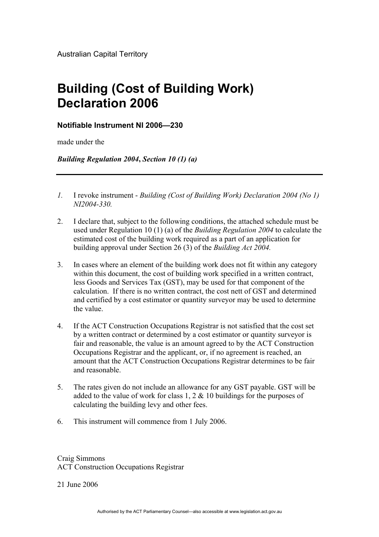## **Building (Cost of Building Work) Declaration 2006**

## **Notifiable Instrument NI 2006—230**

made under the

*Building Regulation 2004***,** *Section 10 (1) (a)*

- *1.* I revoke instrument *Building (Cost of Building Work) Declaration 2004 (No 1) NI2004-330.*
- 2. I declare that, subject to the following conditions, the attached schedule must be used under Regulation 10 (1) (a) of the *Building Regulation 2004* to calculate the estimated cost of the building work required as a part of an application for building approval under Section 26 (3) of the *Building Act 2004.*
- 3. In cases where an element of the building work does not fit within any category within this document, the cost of building work specified in a written contract, less Goods and Services Tax (GST), may be used for that component of the calculation. If there is no written contract, the cost nett of GST and determined and certified by a cost estimator or quantity surveyor may be used to determine the value.
- 4. If the ACT Construction Occupations Registrar is not satisfied that the cost set by a written contract or determined by a cost estimator or quantity surveyor is fair and reasonable, the value is an amount agreed to by the ACT Construction Occupations Registrar and the applicant, or, if no agreement is reached, an amount that the ACT Construction Occupations Registrar determines to be fair and reasonable.
- 5. The rates given do not include an allowance for any GST payable. GST will be added to the value of work for class 1, 2 & 10 buildings for the purposes of calculating the building levy and other fees.
- 6. This instrument will commence from 1 July 2006.

Craig Simmons ACT Construction Occupations Registrar

21 June 2006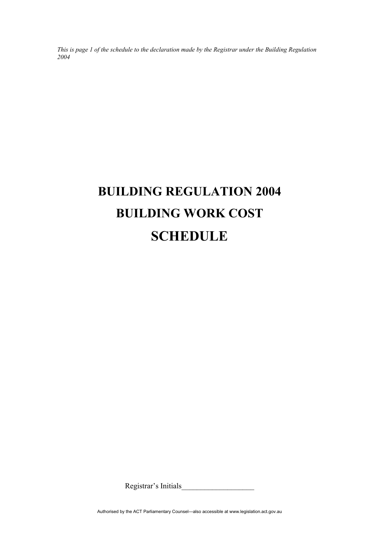*This is page 1 of the schedule to the declaration made by the Registrar under the Building Regulation 2004* 

## **BUILDING REGULATION 2004 BUILDING WORK COST SCHEDULE**

Registrar's Initials

Authorised by the ACT Parliamentary Counsel—also accessible at www.legislation.act.gov.au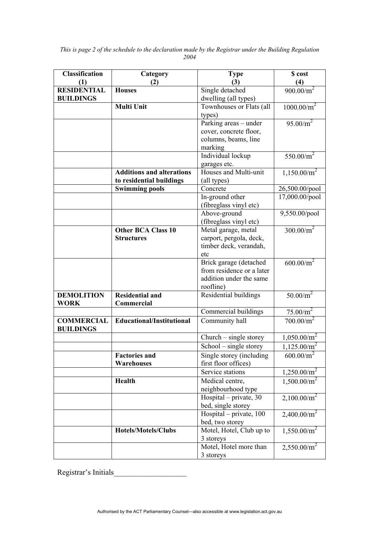| <b>Classification</b> | Category                         | <b>Type</b>                                  | \$ cost                 |
|-----------------------|----------------------------------|----------------------------------------------|-------------------------|
| (1)                   | (2)                              | (3)                                          | (4)                     |
| <b>RESIDENTIAL</b>    | <b>Houses</b>                    | Single detached                              | $900.00/m^2$            |
| <b>BUILDINGS</b>      |                                  | dwelling (all types)                         |                         |
|                       | <b>Multi Unit</b>                | Townhouses or Flats (all                     | 1000.00/m <sup>2</sup>  |
|                       |                                  | types)                                       |                         |
|                       |                                  | Parking areas - under                        | 95.00/m <sup>2</sup>    |
|                       |                                  | cover, concrete floor,                       |                         |
|                       |                                  | columns, beams, line                         |                         |
|                       |                                  | marking                                      |                         |
|                       |                                  | Individual lockup                            | 550.00/ $m^2$           |
|                       | <b>Additions and alterations</b> | garages etc.<br>Houses and Multi-unit        |                         |
|                       | to residential buildings         | (all types)                                  | 1,150.00/m <sup>2</sup> |
|                       | <b>Swimming pools</b>            | Concrete                                     | 26,500.00/pool          |
|                       |                                  | In-ground other                              | 17,000.00/pool          |
|                       |                                  | (fibreglass vinyl etc)                       |                         |
|                       |                                  | Above-ground                                 | 9,550.00/pool           |
|                       |                                  | (fibreglass vinyl etc)                       |                         |
|                       | <b>Other BCA Class 10</b>        | Metal garage, metal                          | 300.00/m <sup>2</sup>   |
|                       | <b>Structures</b>                | carport, pergola, deck,                      |                         |
|                       |                                  | timber deck, verandah,                       |                         |
|                       |                                  | etc                                          |                         |
|                       |                                  | Brick garage (detached                       | 600.00/m <sup>2</sup>   |
|                       |                                  | from residence or a later                    |                         |
|                       |                                  | addition under the same                      |                         |
|                       |                                  | roofline)                                    |                         |
| <b>DEMOLITION</b>     | <b>Residential and</b>           | Residential buildings                        | $50.00/m^2$             |
| <b>WORK</b>           | Commercial                       |                                              |                         |
|                       |                                  | Commercial buildings                         | 75.00/m <sup>2</sup>    |
| <b>COMMERCIAL</b>     | Educational/Institutional        | Community hall                               | $700.00/m^2$            |
| <b>BUILDINGS</b>      |                                  |                                              |                         |
|                       |                                  | Church - single storey                       | 1,050.00/m <sup>2</sup> |
|                       |                                  | School - single storey                       | 1,125.00/m <sup>2</sup> |
|                       | <b>Factories and</b>             | Single storey (including                     | 600.00/m                |
|                       | Warehouses                       | first floor offices)                         |                         |
|                       |                                  | Service stations                             | 1,250.00/m <sup>2</sup> |
|                       | Health                           | Medical centre,                              | 1,500.00/m <sup>2</sup> |
|                       |                                  | neighbourhood type                           |                         |
|                       |                                  | Hospital - private, 30<br>bed, single storey | 2,100.00/m <sup>2</sup> |
|                       |                                  | Hospital – private, $100$                    | 2,400.00/m <sup>2</sup> |
|                       |                                  | bed, two storey                              |                         |
|                       | Hotels/Motels/Clubs              | Motel, Hotel, Club up to                     | 1,550.00/m <sup>2</sup> |
|                       |                                  | 3 storeys                                    |                         |
|                       |                                  | Motel, Hotel more than                       | 2,550.00/m <sup>2</sup> |
|                       |                                  | 3 storeys                                    |                         |

*This is page 2 of the schedule to the declaration made by the Registrar under the Building Regulation 2004* 

Registrar's Initials\_\_\_\_\_\_\_\_\_\_\_\_\_\_\_\_\_\_\_